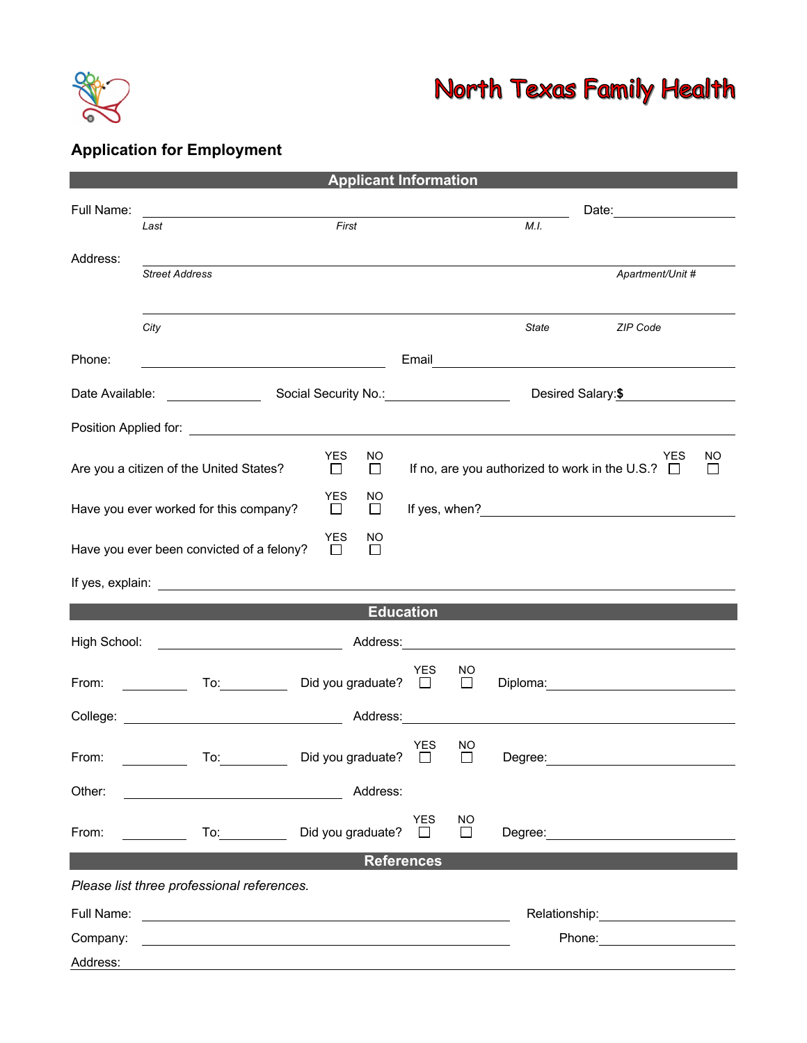

## North Texas Family Health

## **Application for Employment**

| <b>Applicant Information</b>                                                                                                                                                                                                                         |                                                                                                                                                                                                                                |                             |                                                                                           |                                   |                                                                                                                                                                                                                                |  |  |  |
|------------------------------------------------------------------------------------------------------------------------------------------------------------------------------------------------------------------------------------------------------|--------------------------------------------------------------------------------------------------------------------------------------------------------------------------------------------------------------------------------|-----------------------------|-------------------------------------------------------------------------------------------|-----------------------------------|--------------------------------------------------------------------------------------------------------------------------------------------------------------------------------------------------------------------------------|--|--|--|
| Full Name:                                                                                                                                                                                                                                           | <u> 1989 - Johann Barbara, martin da basar a shekara 1989 - An tsara 1989 - An tsara 1989 - An tsara 1989 - An tsa</u>                                                                                                         |                             |                                                                                           | Date: <u>____________________</u> |                                                                                                                                                                                                                                |  |  |  |
|                                                                                                                                                                                                                                                      | Last                                                                                                                                                                                                                           | First                       |                                                                                           | M.I.                              |                                                                                                                                                                                                                                |  |  |  |
| Address:                                                                                                                                                                                                                                             | <b>Street Address</b>                                                                                                                                                                                                          |                             |                                                                                           |                                   | Apartment/Unit #                                                                                                                                                                                                               |  |  |  |
|                                                                                                                                                                                                                                                      |                                                                                                                                                                                                                                |                             |                                                                                           |                                   |                                                                                                                                                                                                                                |  |  |  |
|                                                                                                                                                                                                                                                      | City                                                                                                                                                                                                                           |                             |                                                                                           | State                             | <b>ZIP Code</b>                                                                                                                                                                                                                |  |  |  |
| Phone:                                                                                                                                                                                                                                               | <u> 1980 - Johann Barn, mars eta bainar eta baina eta baina eta baina eta baina eta baina eta baina eta baina e</u>                                                                                                            |                             |                                                                                           |                                   |                                                                                                                                                                                                                                |  |  |  |
| Date Available:                                                                                                                                                                                                                                      | Social Security No.: 1994                                                                                                                                                                                                      |                             |                                                                                           |                                   | Desired Salary:\$                                                                                                                                                                                                              |  |  |  |
| Position Applied for: <u>contract the contract of the contract of the contract of the contract of the contract of the contract of the contract of the contract of the contract of the contract of the contract of the contract o</u>                 |                                                                                                                                                                                                                                |                             |                                                                                           |                                   |                                                                                                                                                                                                                                |  |  |  |
| <b>YES</b><br>NO<br>Are you a citizen of the United States?<br>$\Box$<br>$\Box$                                                                                                                                                                      |                                                                                                                                                                                                                                |                             | <b>YES</b><br>NO<br>If no, are you authorized to work in the U.S.? $\Box$<br>$\mathsf{L}$ |                                   |                                                                                                                                                                                                                                |  |  |  |
| <b>YES</b><br>NO.<br>Have you ever worked for this company?<br>$\Box$<br>$\Box$                                                                                                                                                                      |                                                                                                                                                                                                                                |                             |                                                                                           |                                   |                                                                                                                                                                                                                                |  |  |  |
|                                                                                                                                                                                                                                                      | Have you ever been convicted of a felony?                                                                                                                                                                                      | <b>YES</b><br>ΝO<br>П<br>П  |                                                                                           |                                   |                                                                                                                                                                                                                                |  |  |  |
|                                                                                                                                                                                                                                                      |                                                                                                                                                                                                                                |                             |                                                                                           |                                   |                                                                                                                                                                                                                                |  |  |  |
| <b>Education</b>                                                                                                                                                                                                                                     |                                                                                                                                                                                                                                |                             |                                                                                           |                                   |                                                                                                                                                                                                                                |  |  |  |
| <u>Address: Address: Address: Address: Address: Address: Address: Address: Address: Address: Address: Address: Address: Address: Address: Address: Address: Address: Address: Address: Address: Address: Address: Address: Addre</u><br>High School: |                                                                                                                                                                                                                                |                             |                                                                                           |                                   |                                                                                                                                                                                                                                |  |  |  |
| From:                                                                                                                                                                                                                                                | To: the contract of the contract of the contract of the contract of the contract of the contract of the contract of the contract of the contract of the contract of the contract of the contract of the contract of the contra | Did you graduate? $\square$ | YES<br>NO<br>$\Box$                                                                       |                                   | Diploma: and the contract of the contract of the contract of the contract of the contract of the contract of the contract of the contract of the contract of the contract of the contract of the contract of the contract of t |  |  |  |
|                                                                                                                                                                                                                                                      |                                                                                                                                                                                                                                | Address:                    |                                                                                           |                                   |                                                                                                                                                                                                                                |  |  |  |
| From:                                                                                                                                                                                                                                                | To:                                                                                                                                                                                                                            | Did you graduate?           | YES<br>ΝO<br>$\mathsf{L}$<br>ΙI                                                           | Degree:                           |                                                                                                                                                                                                                                |  |  |  |
| Other:                                                                                                                                                                                                                                               |                                                                                                                                                                                                                                | Address:                    |                                                                                           |                                   |                                                                                                                                                                                                                                |  |  |  |
| From:                                                                                                                                                                                                                                                | To: the contract of the contract of the contract of the contract of the contract of the contract of the contract of the contract of the contract of the contract of the contract of the contract of the contract of the contra | Did you graduate?           | <b>YES</b><br>NO<br>П                                                                     |                                   |                                                                                                                                                                                                                                |  |  |  |
| <b>References</b>                                                                                                                                                                                                                                    |                                                                                                                                                                                                                                |                             |                                                                                           |                                   |                                                                                                                                                                                                                                |  |  |  |
| Please list three professional references.                                                                                                                                                                                                           |                                                                                                                                                                                                                                |                             |                                                                                           |                                   |                                                                                                                                                                                                                                |  |  |  |
| Full Name:                                                                                                                                                                                                                                           | <u> 1980 - Andrea Andrew Maria (h. 1980).</u>                                                                                                                                                                                  |                             |                                                                                           |                                   | Relationship: example and the set of the set of the set of the set of the set of the set of the set of the set of the set of the set of the set of the set of the set of the set of the set of the set of the set of the set o |  |  |  |
| Company:                                                                                                                                                                                                                                             |                                                                                                                                                                                                                                |                             |                                                                                           |                                   | Phone: <u>________</u>                                                                                                                                                                                                         |  |  |  |
| Address:                                                                                                                                                                                                                                             |                                                                                                                                                                                                                                |                             |                                                                                           |                                   |                                                                                                                                                                                                                                |  |  |  |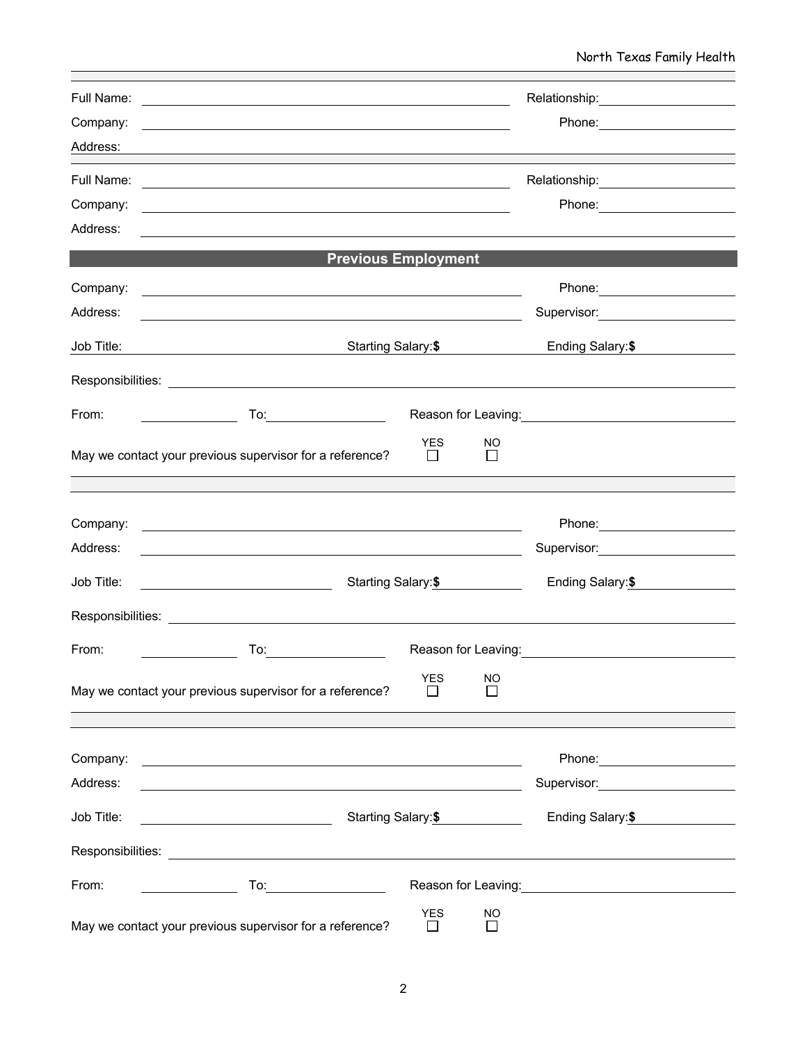| Full Name: | <u> 1980 - Andrea Station Barbara, actor a component de la componentación de la componentación de la componentaci</u>                                                                                                          | Relationship: Network of the American Assembly Press, and the Assembly Press, and the Assembly Press, and the                                                                                                                                                                             |                                                                                                                                                                                                                                |  |  |  |  |
|------------|--------------------------------------------------------------------------------------------------------------------------------------------------------------------------------------------------------------------------------|-------------------------------------------------------------------------------------------------------------------------------------------------------------------------------------------------------------------------------------------------------------------------------------------|--------------------------------------------------------------------------------------------------------------------------------------------------------------------------------------------------------------------------------|--|--|--|--|
| Company:   | <u> 1989 - Andrea Santa Andrea Andrea Santa Andrea Andrea Andrea Andrea Andrea Andrea Andrea Andrea Andrea Andre</u>                                                                                                           |                                                                                                                                                                                                                                                                                           | Phone: _______________________                                                                                                                                                                                                 |  |  |  |  |
| Address:   | ,我们也不会有什么。""我们的人,我们也不会有什么?""我们的人,我们也不会有什么?""我们的人,我们也不会有什么?""我们的人,我们也不会有什么?""我们的人                                                                                                                                               |                                                                                                                                                                                                                                                                                           |                                                                                                                                                                                                                                |  |  |  |  |
| Full Name: |                                                                                                                                                                                                                                | Relationship: Network of the Assembly Present and Assembly Present and Assembly Present and Assembly Present and Assembly Present and Assembly Present and Assembly Present and Assembly Present and Assembly Present and Asse<br><u> 1989 - Johann Barnett, fransk politik (d. 1989)</u> |                                                                                                                                                                                                                                |  |  |  |  |
| Company:   | <u> 1980 - Andrea Stadt Britain, amerikansk politik (* 1950)</u>                                                                                                                                                               |                                                                                                                                                                                                                                                                                           |                                                                                                                                                                                                                                |  |  |  |  |
| Address:   |                                                                                                                                                                                                                                |                                                                                                                                                                                                                                                                                           |                                                                                                                                                                                                                                |  |  |  |  |
|            | <b>Previous Employment</b>                                                                                                                                                                                                     |                                                                                                                                                                                                                                                                                           |                                                                                                                                                                                                                                |  |  |  |  |
| Company:   | <u> 1989 - Johann Stoff, amerikansk politiker (d. 1989)</u>                                                                                                                                                                    |                                                                                                                                                                                                                                                                                           | Phone: ________________________                                                                                                                                                                                                |  |  |  |  |
| Address:   |                                                                                                                                                                                                                                |                                                                                                                                                                                                                                                                                           | Supervisor: Victor Control Control Control Control Control Control Control Control Control Control Control Control Control Control Control Control Control Control Control Control Control Control Control Control Control Con |  |  |  |  |
| Job Title: | Starting Salary:\$<br><u> 1980 - Johann Barn, mars eta bainar eta baina eta baina eta baina eta baina eta baina eta baina eta baina e</u>                                                                                      |                                                                                                                                                                                                                                                                                           | Ending Salary: \$                                                                                                                                                                                                              |  |  |  |  |
|            |                                                                                                                                                                                                                                |                                                                                                                                                                                                                                                                                           |                                                                                                                                                                                                                                |  |  |  |  |
| From:      |                                                                                                                                                                                                                                | Reason for Leaving:<br>Notice that the set of the set of the set of the set of the set of the set of the set of the set of the set of the set of the set of the set of the set of the set of the set of the set of the set of th                                                          |                                                                                                                                                                                                                                |  |  |  |  |
|            | YES<br>May we contact your previous supervisor for a reference?<br>$\perp$                                                                                                                                                     | NO<br>$\Box$                                                                                                                                                                                                                                                                              |                                                                                                                                                                                                                                |  |  |  |  |
|            |                                                                                                                                                                                                                                |                                                                                                                                                                                                                                                                                           |                                                                                                                                                                                                                                |  |  |  |  |
| Company:   |                                                                                                                                                                                                                                |                                                                                                                                                                                                                                                                                           |                                                                                                                                                                                                                                |  |  |  |  |
| Address:   | <u> 1989 - Johann Barn, mars ann an t-Amhain Aonaichte ann an t-Aonaichte ann an t-Aonaichte ann an t-Aonaichte a</u>                                                                                                          |                                                                                                                                                                                                                                                                                           | Supervisor: Victor Contract Contract Contract Contract Contract Contract Contract Contract Contract Contract Co                                                                                                                |  |  |  |  |
| Job Title: | Starting Salary: \$                                                                                                                                                                                                            |                                                                                                                                                                                                                                                                                           | Ending Salary: \$                                                                                                                                                                                                              |  |  |  |  |
|            |                                                                                                                                                                                                                                |                                                                                                                                                                                                                                                                                           |                                                                                                                                                                                                                                |  |  |  |  |
| From:      | To: the contract of the contract of the contract of the contract of the contract of the contract of the contract of the contract of the contract of the contract of the contract of the contract of the contract of the contra |                                                                                                                                                                                                                                                                                           | Reason for Leaving: <u>_________________________________</u>                                                                                                                                                                   |  |  |  |  |
|            | <b>YES</b><br>May we contact your previous supervisor for a reference?                                                                                                                                                         | <b>NO</b><br>$\mathsf{L}$                                                                                                                                                                                                                                                                 |                                                                                                                                                                                                                                |  |  |  |  |
| Company:   |                                                                                                                                                                                                                                |                                                                                                                                                                                                                                                                                           | Phone: <u>with the state of the state of the state of</u>                                                                                                                                                                      |  |  |  |  |
| Address:   | <u> 1989 - Johann Stoff, deutscher Stoffen und der Stoffen und der Stoffen und der Stoffen und der Stoffen und der</u>                                                                                                         |                                                                                                                                                                                                                                                                                           | Supervisor: National Assembly Properties                                                                                                                                                                                       |  |  |  |  |
| Job Title: |                                                                                                                                                                                                                                | Starting Salary:\$                                                                                                                                                                                                                                                                        |                                                                                                                                                                                                                                |  |  |  |  |
|            | Responsibilities: Network and the second state of the second state of the second state of the second state of the second state of the second state of the second state of the second state of the second state of the second s |                                                                                                                                                                                                                                                                                           |                                                                                                                                                                                                                                |  |  |  |  |
| From:      |                                                                                                                                                                                                                                |                                                                                                                                                                                                                                                                                           | Reason for Leaving: The contract of the contract of the contract of the contract of the contract of the contract of the contract of the contract of the contract of the contract of the contract of the contract of the contra |  |  |  |  |
|            | <b>YES</b><br>May we contact your previous supervisor for a reference?<br>ΙI                                                                                                                                                   | <b>NO</b><br>$\perp$                                                                                                                                                                                                                                                                      |                                                                                                                                                                                                                                |  |  |  |  |